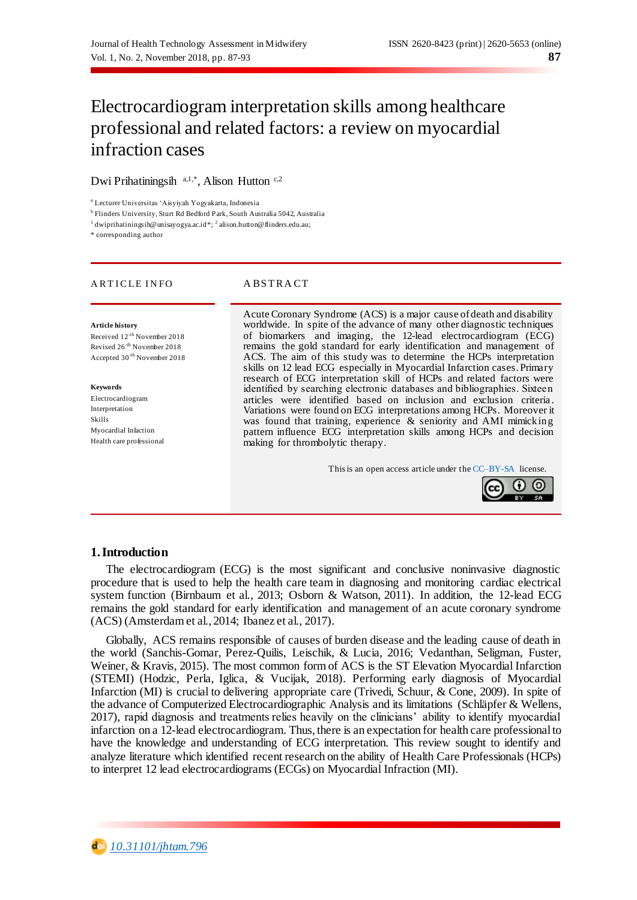# Electrocardiogram interpretation skills among healthcare professional and related factors: a review on myocardial infraction cases

Dwi Prihatiningsih <sup>a,1,\*</sup>, Alison Hutton <sup>c,2</sup>

<sup>a</sup> Lecturer Universitas 'Aisyiyah Yogyakarta, Indonesia

b Flinders University, Sturt Rd Bedford Park, South Australia 5042, Australia

 $1$  dwiprihatiningsih@unisayogya.ac.id  $*$ ;  $2$  alison.hutton@flinders.edu.au;

\* corresponding author

#### A R T I CLE INFO A BSTRACT

#### **Article history**

Received 12-th November 2018 Revised 26-th November 2018 Accepted 30-th November 2018

#### **Keywords**

Electrocardiogram Interpretation Skills Myocardial Infaction Health care professional

Acute Coronary Syndrome (ACS) is a major cause of death and disability worldwide. In spite of the advance of many other diagnostic techniques of biomarkers and imaging, the 12-lead electrocardiogram (ECG) remains the gold standard for early identification and management of ACS. The aim of this study was to determine the HCPs interpretation skills on 12 lead ECG especially in Myocardial Infarction cases. Primary research of ECG interpretation skill of HCPs and related factors were identified by searching electronic databases and bibliographies. Sixteen articles were identified based on inclusion and exclusion criteria . Variations were found on ECG interpretations among HCPs. Moreover it was found that training, experience & seniority and AMI mimicking pattern influence ECG interpretation skills among HCPs and decision making for thrombolytic therapy.

This is an open access article under th[e CC–BY-SA](http://creativecommons.org/licenses/by-sa/4.0/) license.



## **1.Introduction**

The electrocardiogram (ECG) is the most significant and conclusive noninvasive diagnostic procedure that is used to help the health care team in diagnosing and monitoring cardiac electrical system function (Birnbaum et al., 2013; Osborn & Watson, 2011). In addition, the 12-lead ECG remains the gold standard for early identification and management of an acute coronary syndrome (ACS) (Amsterdam et al., 2014; Ibanez et al., 2017).

Globally, ACS remains responsible of causes of burden disease and the leading cause of death in the world (Sanchis-Gomar, Perez-Quilis, Leischik, & Lucia, 2016; Vedanthan, Seligman, Fuster, Weiner, & Kravis, 2015). The most common form of ACS is the ST Elevation Myocardial Infarction (STEMI) (Hodzic, Perla, Iglica, & Vucijak, 2018). Performing early diagnosis of Myocardial Infarction (MI) is crucial to delivering appropriate care (Trivedi, Schuur, & Cone, 2009). In spite of the advance of Computerized Electrocardiographic Analysis and its limitations (Schläpfer & Wellens, 2017), rapid diagnosis and treatments relies heavily on the clinicians' ability to identify myocardial infarction on a 12-lead electrocardiogram. Thus, there is an expectation for health care professional to have the knowledge and understanding of ECG interpretation. This review sought to identify and analyze literature which identified recent research on the ability of Health Care Professionals (HCPs) to interpret 12 lead electrocardiograms (ECGs) on Myocardial Infraction (MI).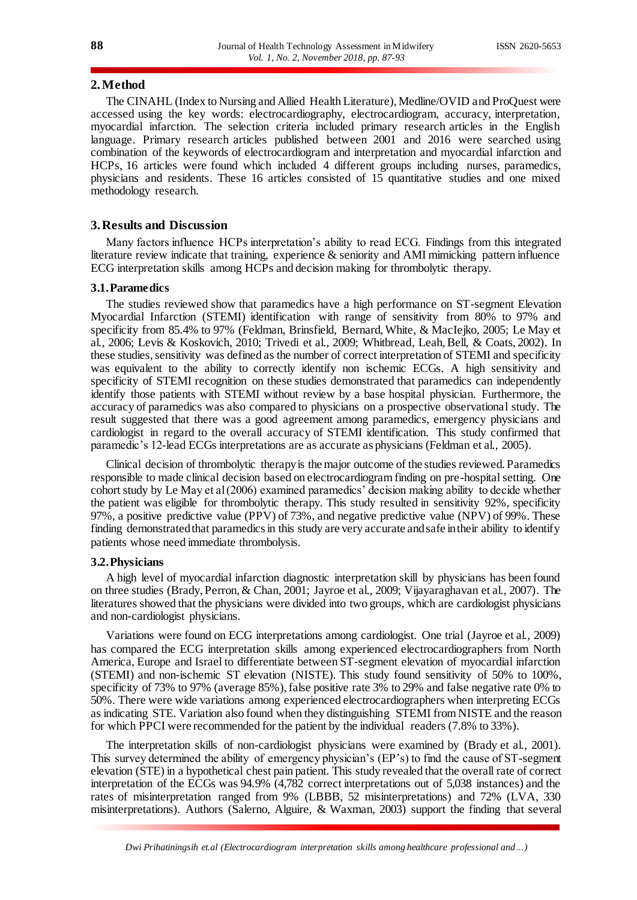#### **2.Method**

The CINAHL (Index to Nursing and Allied Health Literature), Medline/OVID and ProQuest were accessed using the key words: electrocardiography, electrocardiogram, accuracy, interpretation, myocardial infarction. The selection criteria included primary research articles in the English language. Primary research articles published between 2001 and 2016 were searched using combination of the keywords of electrocardiogram and interpretation and myocardial infarction and HCPs, 16 articles were found which included 4 different groups including nurses, paramedics, physicians and residents. These 16 articles consisted of 15 quantitative studies and one mixed methodology research.

## **3.Results and Discussion**

Many factors influence HCPs interpretation's ability to read ECG. Findings from this integrated literature review indicate that training, experience & seniority and AMI mimicking pattern influence ECG interpretation skills among HCPs and decision making for thrombolytic therapy.

#### **3.1.Paramedics**

The studies reviewed show that paramedics have a high performance on ST-segment Elevation Myocardial Infarction (STEMI) identification with range of sensitivity from 80% to 97% and specificity from 85.4% to 97% (Feldman, Brinsfield, Bernard, White, & MacIejko, 2005; Le May et al., 2006; Levis & Koskovich, 2010; Trivedi et al., 2009; Whitbread, Leah, Bell, & Coats, 2002). In these studies, sensitivity was defined as the number of correct interpretation of STEMI and specificity was equivalent to the ability to correctly identify non ischemic ECGs. A high sensitivity and specificity of STEMI recognition on these studies demonstrated that paramedics can independently identify those patients with STEMI without review by a base hospital physician. Furthermore, the accuracy of paramedics was also compared to physicians on a prospective observational study. The result suggested that there was a good agreement among paramedics, emergency physicians and cardiologist in regard to the overall accuracy of STEMI identification. This study confirmed that paramedic's 12-lead ECGs interpretations are as accurate as physicians (Feldman et al., 2005).

Clinical decision of thrombolytic therapy is the major outcome of the studies reviewed. Paramedics responsible to made clinical decision based on electrocardiogram finding on pre-hospital setting. One cohort study by Le May et al (2006) examined paramedics' decision making ability to decide whether the patient was eligible for thrombolytic therapy. This study resulted in sensitivity 92%, specificity 97%, a positive predictive value (PPV) of 73%, and negative predictive value (NPV) of 99%. These finding demonstrated that paramedics in this study are very accurate and safe in their ability to identify patients whose need immediate thrombolysis.

#### **3.2.Physicians**

A high level of myocardial infarction diagnostic interpretation skill by physicians has been found on three studies (Brady, Perron, & Chan, 2001; Jayroe et al., 2009; Vijayaraghavan et al., 2007). The literatures showed that the physicians were divided into two groups, which are cardiologist physicians and non-cardiologist physicians.

Variations were found on ECG interpretations among cardiologist. One trial (Jayroe et al., 2009) has compared the ECG interpretation skills among experienced electrocardiographers from North America, Europe and Israel to differentiate between ST-segment elevation of myocardial infarction (STEMI) and non-ischemic ST elevation (NISTE). This study found sensitivity of 50% to 100%, specificity of 73% to 97% (average 85%), false positive rate 3% to 29% and false negative rate 0% to 50%. There were wide variations among experienced electrocardiographers when interpreting ECGs as indicating STE. Variation also found when they distinguishing STEMI from NISTE and the reason for which PPCI were recommended for the patient by the individual readers (7.8% to 33%).

The interpretation skills of non-cardiologist physicians were examined by (Brady et al., 2001). This survey determined the ability of emergency physician's (EP's) to find the cause of ST-segment elevation (STE) in a hypothetical chest pain patient. This study revealed that the overall rate of correct interpretation of the ECGs was 94.9% (4,782 correct interpretations out of 5,038 instances) and the rates of misinterpretation ranged from 9% (LBBB, 52 misinterpretations) and 72% (LVA, 330 misinterpretations). Authors (Salerno, Alguire, & Waxman, 2003) support the finding that several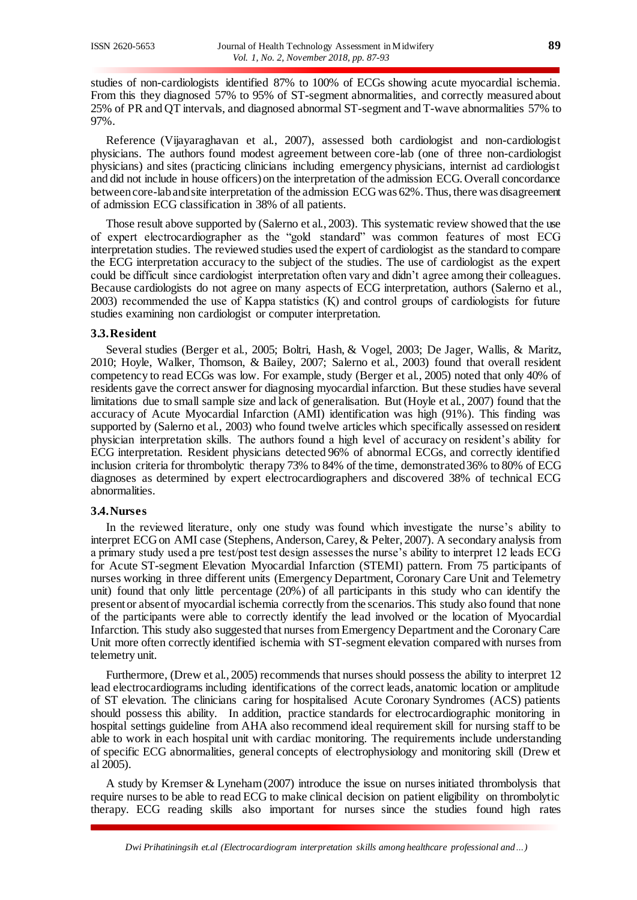studies of non-cardiologists identified 87% to 100% of ECGs showing acute myocardial ischemia. From this they diagnosed 57% to 95% of ST-segment abnormalities, and correctly measured about 25% of PR and QT intervals, and diagnosed abnormal ST-segment and T-wave abnormalities 57% to 97%.

Reference (Vijayaraghavan et al., 2007), assessed both cardiologist and non-cardiologist physicians. The authors found modest agreement between core-lab (one of three non-cardiologist physicians) and sites (practicing clinicians including emergency physicians, internist ad cardiologist and did not include in house officers) on the interpretation of the admission ECG. Overall concordance between core-lab and site interpretation of the admission ECG was 62%. Thus, there was disagreement of admission ECG classification in 38% of all patients.

Those result above supported by (Salerno et al., 2003). This systematic review showed that the use of expert electrocardiographer as the "gold standard" was common features of most ECG interpretation studies. The reviewed studies used the expert of cardiologist as the standard to compare the ECG interpretation accuracy to the subject of the studies. The use of cardiologist as the expert could be difficult since cardiologist interpretation often vary and didn't agree among their colleagues. Because cardiologists do not agree on many aspects of ECG interpretation, authors (Salerno et al., 2003) recommended the use of Kappa statistics (Қ) and control groups of cardiologists for future studies examining non cardiologist or computer interpretation.

#### **3.3.Resident**

Several studies (Berger et al., 2005; Boltri, Hash, & Vogel, 2003; De Jager, Wallis, & Maritz, 2010; Hoyle, Walker, Thomson, & Bailey, 2007; Salerno et al., 2003) found that overall resident competency to read ECGs was low. For example, study (Berger et al., 2005) noted that only 40% of residents gave the correct answer for diagnosing myocardial infarction. But these studies have several limitations due to small sample size and lack of generalisation. But (Hoyle et al., 2007) found that the accuracy of Acute Myocardial Infarction (AMI) identification was high (91%). This finding was supported by (Salerno et al., 2003) who found twelve articles which specifically assessed on resident physician interpretation skills. The authors found a high level of accuracy on resident's ability for ECG interpretation. Resident physicians detected 96% of abnormal ECGs, and correctly identified inclusion criteria for thrombolytic therapy 73% to 84% of the time, demonstrated 36% to 80% of ECG diagnoses as determined by expert electrocardiographers and discovered 38% of technical ECG abnormalities.

#### **3.4.Nurses**

In the reviewed literature, only one study was found which investigate the nurse's ability to interpret ECG on AMI case (Stephens, Anderson, Carey, & Pelter, 2007). A secondary analysis from a primary study used a pre test/post test design assesses the nurse's ability to interpret 12 leads ECG for Acute ST-segment Elevation Myocardial Infarction (STEMI) pattern. From 75 participants of nurses working in three different units (Emergency Department, Coronary Care Unit and Telemetry unit) found that only little percentage (20%) of all participants in this study who can identify the present or absent of myocardial ischemia correctly from the scenarios. This study also found that none of the participants were able to correctly identify the lead involved or the location of Myocardial Infarction. This study also suggested that nurses from Emergency Department and the Coronary Care Unit more often correctly identified ischemia with ST-segment elevation compared with nurses from telemetry unit.

Furthermore, (Drew et al., 2005) recommends that nurses should possess the ability to interpret 12 lead electrocardiograms including identifications of the correct leads, anatomic location or amplitude of ST elevation. The clinicians caring for hospitalised Acute Coronary Syndromes (ACS) patients should possess this ability. In addition, practice standards for electrocardiographic monitoring in hospital settings guideline from AHA also recommend ideal requirement skill for nursing staff to be able to work in each hospital unit with cardiac monitoring. The requirements include understanding of specific ECG abnormalities, general concepts of electrophysiology and monitoring skill (Drew et al 2005).

A study by Kremser & Lyneham (2007) introduce the issue on nurses initiated thrombolysis that require nurses to be able to read ECG to make clinical decision on patient eligibility on thrombolytic therapy. ECG reading skills also important for nurses since the studies found high rates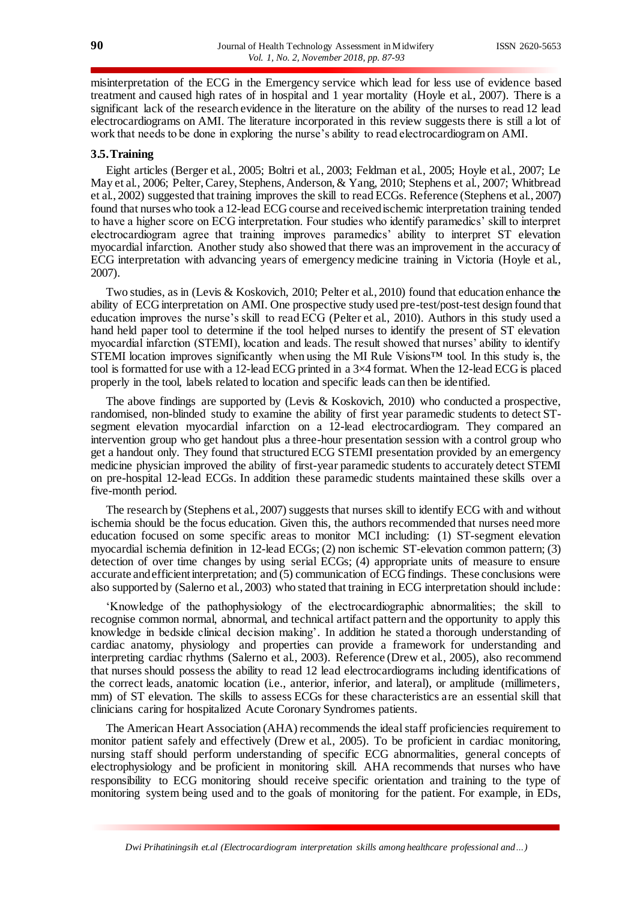misinterpretation of the ECG in the Emergency service which lead for less use of evidence based treatment and caused high rates of in hospital and 1 year mortality (Hoyle et al., 2007). There is a significant lack of the research evidence in the literature on the ability of the nurses to read 12 lead electrocardiograms on AMI. The literature incorporated in this review suggests there is still a lot of work that needs to be done in exploring the nurse's ability to read electrocardiogram on AMI.

# **3.5.Training**

Eight articles (Berger et al., 2005; Boltri et al., 2003; Feldman et al., 2005; Hoyle et al., 2007; Le May et al., 2006; Pelter, Carey, Stephens, Anderson, & Yang, 2010; Stephens et al., 2007; Whitbread et al., 2002) suggested that training improves the skill to read ECGs. Reference (Stephens et al., 2007) found that nurses who took a 12-lead ECG course and received ischemic interpretation training tended to have a higher score on ECG interpretation. Four studies who identify paramedics' skill to interpret electrocardiogram agree that training improves paramedics' ability to interpret ST elevation myocardial infarction. Another study also showed that there was an improvement in the accuracy of ECG interpretation with advancing years of emergency medicine training in Victoria (Hoyle et al., 2007).

Two studies, as in (Levis & Koskovich, 2010; Pelter et al., 2010) found that education enhance the ability of ECG interpretation on AMI. One prospective study used pre-test/post-test design found that education improves the nurse's skill to read ECG (Pelter et al., 2010). Authors in this study used a hand held paper tool to determine if the tool helped nurses to identify the present of ST elevation myocardial infarction (STEMI), location and leads. The result showed that nurses' ability to identify STEMI location improves significantly when using the MI Rule Visions<sup>™</sup> tool. In this study is, the tool is formatted for use with a 12-lead ECG printed in a  $3\times4$  format. When the 12-lead ECG is placed properly in the tool, labels related to location and specific leads can then be identified.

The above findings are supported by (Levis & Koskovich, 2010) who conducted a prospective, randomised, non-blinded study to examine the ability of first year paramedic students to detect STsegment elevation myocardial infarction on a 12-lead electrocardiogram. They compared an intervention group who get handout plus a three-hour presentation session with a control group who get a handout only. They found that structured ECG STEMI presentation provided by an emergency medicine physician improved the ability of first-year paramedic students to accurately detect STEMI on pre-hospital 12-lead ECGs. In addition these paramedic students maintained these skills over a five-month period.

The research by (Stephens et al., 2007) suggests that nurses skill to identify ECG with and without ischemia should be the focus education. Given this, the authors recommended that nurses need more education focused on some specific areas to monitor MCI including: (1) ST-segment elevation myocardial ischemia definition in 12-lead ECGs; (2) non ischemic ST-elevation common pattern; (3) detection of over time changes by using serial ECGs; (4) appropriate units of measure to ensure accurate and efficient interpretation; and (5) communication of ECG findings. These conclusions were also supported by (Salerno et al., 2003) who stated that training in ECG interpretation should include:

'Knowledge of the pathophysiology of the electrocardiographic abnormalities; the skill to recognise common normal, abnormal, and technical artifact pattern and the opportunity to apply this knowledge in bedside clinical decision making'. In addition he stated a thorough understanding of cardiac anatomy, physiology and properties can provide a framework for understanding and interpreting cardiac rhythms (Salerno et al., 2003). Reference (Drew et al., 2005), also recommend that nurses should possess the ability to read 12 lead electrocardiograms including identifications of the correct leads, anatomic location (i.e., anterior, inferior, and lateral), or amplitude (millimeters, mm) of ST elevation. The skills to assess ECGs for these characteristics are an essential skill that clinicians caring for hospitalized Acute Coronary Syndromes patients.

The American Heart Association (AHA) recommends the ideal staff proficiencies requirement to monitor patient safely and effectively (Drew et al., 2005). To be proficient in cardiac monitoring, nursing staff should perform understanding of specific ECG abnormalities, general concepts of electrophysiology and be proficient in monitoring skill. AHA recommends that nurses who have responsibility to ECG monitoring should receive specific orientation and training to the type of monitoring system being used and to the goals of monitoring for the patient. For example, in EDs,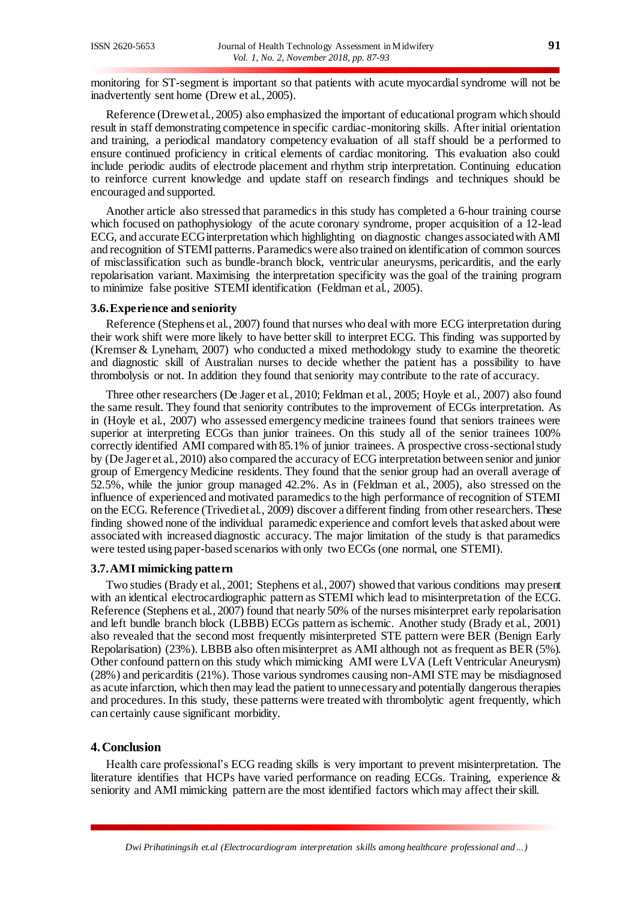monitoring for ST-segment is important so that patients with acute myocardial syndrome will not be inadvertently sent home (Drew et al., 2005).

Reference (Drew et al., 2005) also emphasized the important of educational program which should result in staff demonstrating competence in specific cardiac-monitoring skills. After initial orientation and training, a periodical mandatory competency evaluation of all staff should be a performed to ensure continued proficiency in critical elements of cardiac monitoring. This evaluation also could include periodic audits of electrode placement and rhythm strip interpretation. Continuing education to reinforce current knowledge and update staff on research findings and techniques should be encouraged and supported.

Another article also stressed that paramedics in this study has completed a 6-hour training course which focused on pathophysiology of the acute coronary syndrome, proper acquisition of a 12-lead ECG, and accurate ECG interpretation which highlighting on diagnostic changes associated with AMI and recognition of STEMI patterns. Paramedics were also trained on identification of common sources of misclassification such as bundle-branch block, ventricular aneurysms, pericarditis, and the early repolarisation variant. Maximising the interpretation specificity was the goal of the training program to minimize false positive STEMI identification (Feldman et al., 2005).

#### **3.6.Experience and seniority**

Reference (Stephens et al., 2007) found that nurses who deal with more ECG interpretation during their work shift were more likely to have better skill to interpret ECG. This finding was supported by (Kremser & Lyneham, 2007) who conducted a mixed methodology study to examine the theoretic and diagnostic skill of Australian nurses to decide whether the patient has a possibility to have thrombolysis or not. In addition they found that seniority may contribute to the rate of accuracy.

Three other researchers (De Jager et al., 2010; Feldman et al., 2005; Hoyle et al., 2007) also found the same result. They found that seniority contributes to the improvement of ECGs interpretation. As in (Hoyle et al., 2007) who assessed emergency medicine trainees found that seniors trainees were superior at interpreting ECGs than junior trainees. On this study all of the senior trainees 100% correctly identified AMI compared with 85.1% of junior trainees. A prospective cross-sectional study by (De Jager et al., 2010) also compared the accuracy of ECG interpretation between senior and junior group of Emergency Medicine residents. They found that the senior group had an overall average of 52.5%, while the junior group managed 42.2%. As in (Feldman et al., 2005), also stressed on the influence of experienced and motivated paramedics to the high performance of recognition of STEMI on the ECG. Reference (Trivediet al., 2009) discover a different finding from other researchers. These finding showed none of the individual paramedic experience and comfort levels that asked about were associated with increased diagnostic accuracy. The major limitation of the study is that paramedics were tested using paper-based scenarios with only two ECGs (one normal, one STEMI).

#### **3.7.AMI mimicking pattern**

Two studies (Brady et al., 2001; Stephens et al., 2007) showed that various conditions may present with an identical electrocardiographic pattern as STEMI which lead to misinterpretation of the ECG. Reference (Stephens et al., 2007) found that nearly 50% of the nurses misinterpret early repolarisation and left bundle branch block (LBBB) ECGs pattern as ischemic. Another study (Brady et al., 2001) also revealed that the second most frequently misinterpreted STE pattern were BER (Benign Early Repolarisation) (23%). LBBB also often misinterpret as AMI although not as frequent as BER (5%). Other confound pattern on this study which mimicking AMI were LVA (Left Ventricular Aneurysm) (28%) and pericarditis (21%). Those various syndromes causing non-AMI STE may be misdiagnosed as acute infarction, which then may lead the patient to unnecessary and potentially dangerous therapies and procedures. In this study, these patterns were treated with thrombolytic agent frequently, which can certainly cause significant morbidity.

#### **4.Conclusion**

Health care professional's ECG reading skills is very important to prevent misinterpretation. The literature identifies that HCPs have varied performance on reading ECGs. Training, experience & seniority and AMI mimicking pattern are the most identified factors which may affect their skill.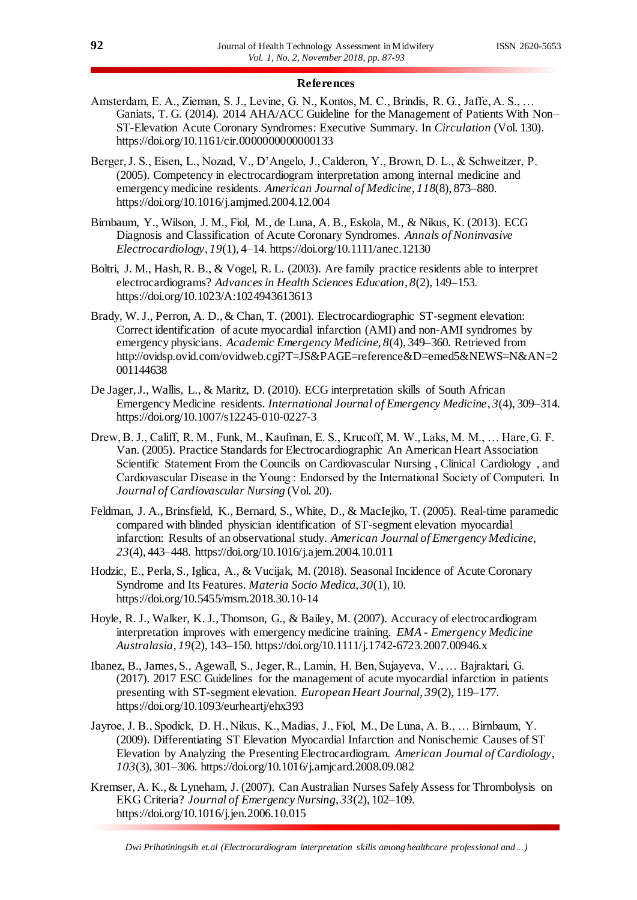#### **References**

- Amsterdam, E. A., Zieman, S. J., Levine, G. N., Kontos, M. C., Brindis, R. G., Jaffe, A. S., … Ganiats, T. G. (2014). 2014 AHA/ACC Guideline for the Management of Patients With Non– ST-Elevation Acute Coronary Syndromes: Executive Summary. In *Circulation* (Vol. 130). https://doi.org/10.1161/cir.0000000000000133
- Berger, J. S., Eisen, L., Nozad, V., D'Angelo, J., Calderon, Y., Brown, D. L., & Schweitzer, P. (2005). Competency in electrocardiogram interpretation among internal medicine and emergency medicine residents. *American Journal of Medicine*, *118*(8), 873–880. https://doi.org/10.1016/j.amjmed.2004.12.004
- Birnbaum, Y., Wilson, J. M., Fiol, M., de Luna, A. B., Eskola, M., & Nikus, K. (2013). ECG Diagnosis and Classification of Acute Coronary Syndromes. *Annals of Noninvasive Electrocardiology*, *19*(1), 4–14. https://doi.org/10.1111/anec.12130
- Boltri, J. M., Hash, R. B., & Vogel, R. L. (2003). Are family practice residents able to interpret electrocardiograms? *Advances in Health Sciences Education*, *8*(2), 149–153. https://doi.org/10.1023/A:1024943613613
- Brady, W. J., Perron, A. D., & Chan, T. (2001). Electrocardiographic ST-segment elevation: Correct identification of acute myocardial infarction (AMI) and non-AMI syndromes by emergency physicians. *Academic Emergency Medicine*, *8*(4), 349–360. Retrieved from http://ovidsp.ovid.com/ovidweb.cgi?T=JS&PAGE=reference&D=emed5&NEWS=N&AN=2 001144638
- De Jager, J., Wallis, L., & Maritz, D. (2010). ECG interpretation skills of South African Emergency Medicine residents. *International Journal of Emergency Medicine*, *3*(4), 309–314. https://doi.org/10.1007/s12245-010-0227-3
- Drew, B. J., Califf, R. M., Funk, M., Kaufman, E. S., Krucoff, M. W., Laks, M. M., … Hare, G. F. Van. (2005). Practice Standards for Electrocardiographic An American Heart Association Scientific Statement From the Councils on Cardiovascular Nursing , Clinical Cardiology , and Cardiovascular Disease in the Young : Endorsed by the International Society of Computeri. In *Journal of Cardiovascular Nursing* (Vol. 20).
- Feldman, J. A., Brinsfield, K., Bernard, S., White, D., & MacIejko, T. (2005). Real-time paramedic compared with blinded physician identification of ST-segment elevation myocardial infarction: Results of an observational study. *American Journal of Emergency Medicine*, *23*(4), 443–448. https://doi.org/10.1016/j.ajem.2004.10.011
- Hodzic, E., Perla, S., Iglica, A., & Vucijak, M. (2018). Seasonal Incidence of Acute Coronary Syndrome and Its Features. *Materia Socio Medica*, *30*(1), 10. https://doi.org/10.5455/msm.2018.30.10-14
- Hoyle, R. J., Walker, K. J., Thomson, G., & Bailey, M. (2007). Accuracy of electrocardiogram interpretation improves with emergency medicine training. *EMA - Emergency Medicine Australasia*, *19*(2), 143–150. https://doi.org/10.1111/j.1742-6723.2007.00946.x
- Ibanez, B., James, S., Agewall, S., Jeger, R., Lamin, H. Ben, Sujayeva, V., … Bajraktari, G. (2017). 2017 ESC Guidelines for the management of acute myocardial infarction in patients presenting with ST-segment elevation. *European Heart Journal*, *39*(2), 119–177. https://doi.org/10.1093/eurheartj/ehx393
- Jayroe, J. B., Spodick, D. H., Nikus, K., Madias, J., Fiol, M., De Luna, A. B., … Birnbaum, Y. (2009). Differentiating ST Elevation Myocardial Infarction and Nonischemic Causes of ST Elevation by Analyzing the Presenting Electrocardiogram. *American Journal of Cardiology*, *103*(3), 301–306. https://doi.org/10.1016/j.amjcard.2008.09.082
- Kremser, A. K., & Lyneham, J. (2007). Can Australian Nurses Safely Assess for Thrombolysis on EKG Criteria? *Journal of Emergency Nursing*, *33*(2), 102–109. https://doi.org/10.1016/j.jen.2006.10.015